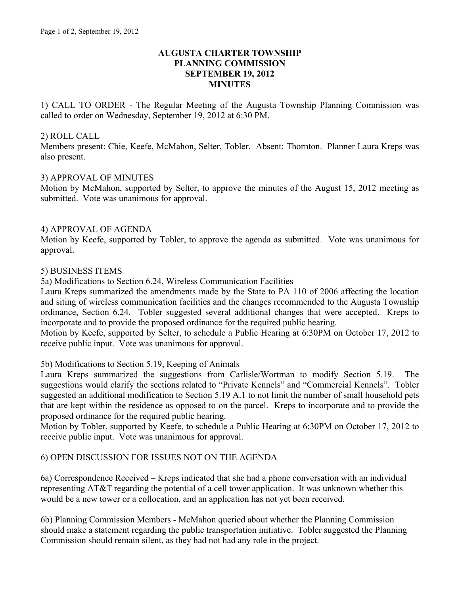## **AUGUSTA CHARTER TOWNSHIP PLANNING COMMISSION SEPTEMBER 19, 2012 MINUTES**

1) CALL TO ORDER - The Regular Meeting of the Augusta Township Planning Commission was called to order on Wednesday, September 19, 2012 at 6:30 PM.

## 2) ROLL CALL

Members present: Chie, Keefe, McMahon, Selter, Tobler. Absent: Thornton. Planner Laura Kreps was also present.

## 3) APPROVAL OF MINUTES

Motion by McMahon, supported by Selter, to approve the minutes of the August 15, 2012 meeting as submitted. Vote was unanimous for approval.

## 4) APPROVAL OF AGENDA

Motion by Keefe, supported by Tobler, to approve the agenda as submitted. Vote was unanimous for approval.

## 5) BUSINESS ITEMS

5a) Modifications to Section 6.24, Wireless Communication Facilities

Laura Kreps summarized the amendments made by the State to PA 110 of 2006 affecting the location and siting of wireless communication facilities and the changes recommended to the Augusta Township ordinance, Section 6.24. Tobler suggested several additional changes that were accepted. Kreps to incorporate and to provide the proposed ordinance for the required public hearing.

Motion by Keefe, supported by Selter, to schedule a Public Hearing at 6:30PM on October 17, 2012 to receive public input. Vote was unanimous for approval.

#### 5b) Modifications to Section 5.19, Keeping of Animals

Laura Kreps summarized the suggestions from Carlisle/Wortman to modify Section 5.19. The suggestions would clarify the sections related to "Private Kennels" and "Commercial Kennels". Tobler suggested an additional modification to Section 5.19 A.1 to not limit the number of small household pets that are kept within the residence as opposed to on the parcel. Kreps to incorporate and to provide the proposed ordinance for the required public hearing.

Motion by Tobler, supported by Keefe, to schedule a Public Hearing at 6:30PM on October 17, 2012 to receive public input. Vote was unanimous for approval.

# 6) OPEN DISCUSSION FOR ISSUES NOT ON THE AGENDA

6a) Correspondence Received – Kreps indicated that she had a phone conversation with an individual representing AT&T regarding the potential of a cell tower application. It was unknown whether this would be a new tower or a collocation, and an application has not yet been received.

6b) Planning Commission Members - McMahon queried about whether the Planning Commission should make a statement regarding the public transportation initiative. Tobler suggested the Planning Commission should remain silent, as they had not had any role in the project.